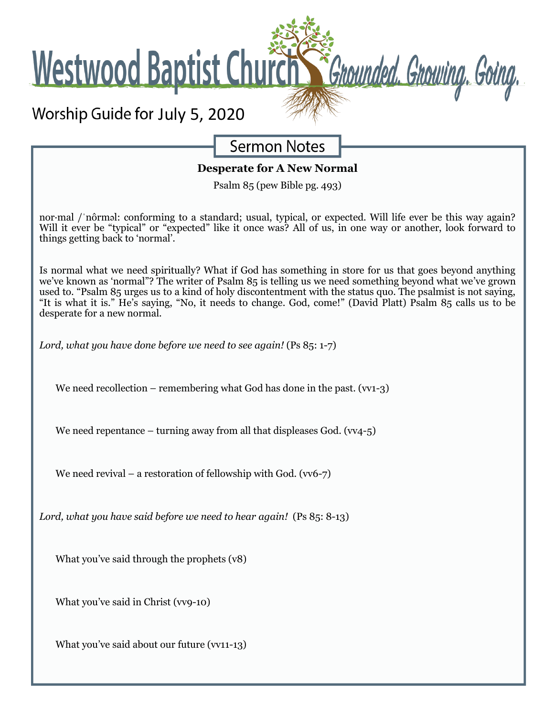

What you've said through the prophets (v8)

What you've said in Christ (vv9-10)

What you've said about our future (vv11-13)